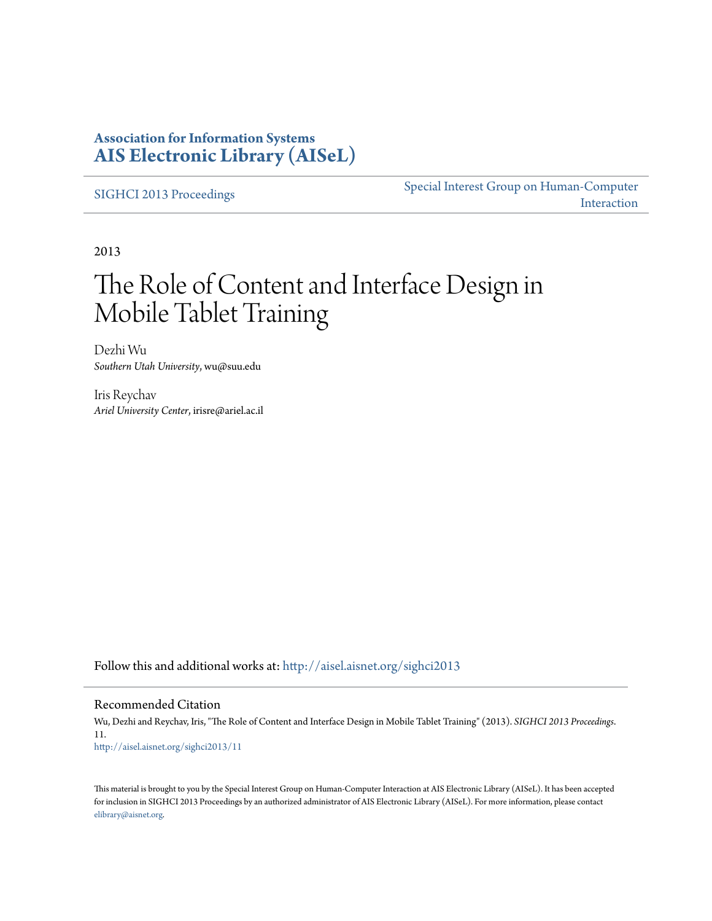### **Association for Information Systems [AIS Electronic Library \(AISeL\)](http://aisel.aisnet.org?utm_source=aisel.aisnet.org%2Fsighci2013%2F11&utm_medium=PDF&utm_campaign=PDFCoverPages)**

[SIGHCI 2013 Proceedings](http://aisel.aisnet.org/sighci2013?utm_source=aisel.aisnet.org%2Fsighci2013%2F11&utm_medium=PDF&utm_campaign=PDFCoverPages)

[Special Interest Group on Human-Computer](http://aisel.aisnet.org/sighci?utm_source=aisel.aisnet.org%2Fsighci2013%2F11&utm_medium=PDF&utm_campaign=PDFCoverPages) [Interaction](http://aisel.aisnet.org/sighci?utm_source=aisel.aisnet.org%2Fsighci2013%2F11&utm_medium=PDF&utm_campaign=PDFCoverPages)

2013

# The Role of Content and Interface Design in Mobile Tablet Training

Dezhi Wu *Southern Utah University*, wu@suu.edu

Iris Reychav *Ariel University Center*, irisre@ariel.ac.il

Follow this and additional works at: [http://aisel.aisnet.org/sighci2013](http://aisel.aisnet.org/sighci2013?utm_source=aisel.aisnet.org%2Fsighci2013%2F11&utm_medium=PDF&utm_campaign=PDFCoverPages)

#### Recommended Citation

Wu, Dezhi and Reychav, Iris, "The Role of Content and Interface Design in Mobile Tablet Training" (2013). *SIGHCI 2013 Proceedings*. 11. [http://aisel.aisnet.org/sighci2013/11](http://aisel.aisnet.org/sighci2013/11?utm_source=aisel.aisnet.org%2Fsighci2013%2F11&utm_medium=PDF&utm_campaign=PDFCoverPages)

This material is brought to you by the Special Interest Group on Human-Computer Interaction at AIS Electronic Library (AISeL). It has been accepted for inclusion in SIGHCI 2013 Proceedings by an authorized administrator of AIS Electronic Library (AISeL). For more information, please contact [elibrary@aisnet.org.](mailto:elibrary@aisnet.org%3E)